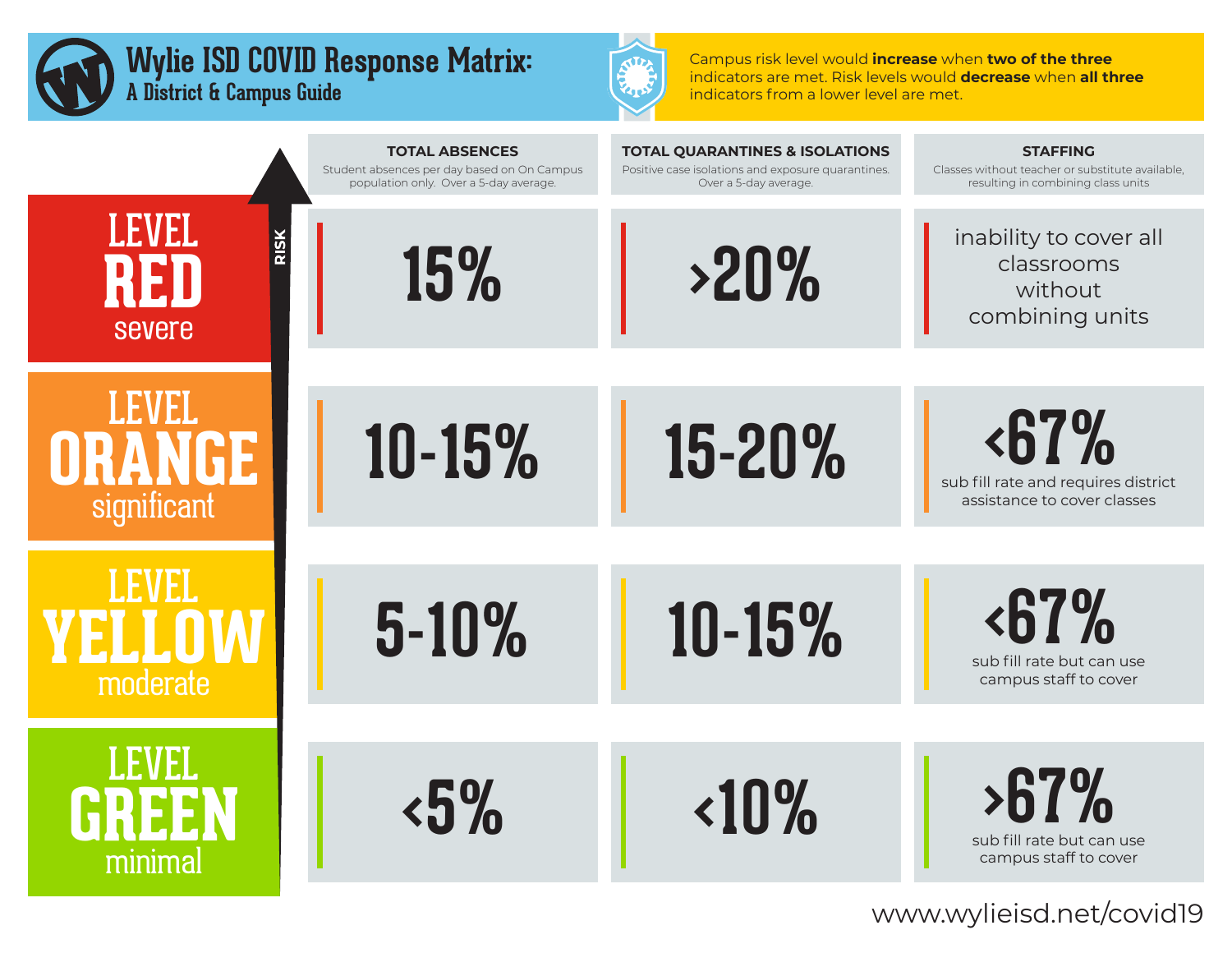



Campus risk level would **increase** when **two of the three** indicators are met. Risk levels would **decrease** when **all three** indicators from a lower level are met.

|                               | <b>TOTAL ABSENCES</b><br>Student absences per day based on On Campus<br>population only. Over a 5-day average. | <b>TOTAL QUARANTINES &amp; ISOLATIONS</b><br>Positive case isolations and exposure quarantines.<br>Over a 5-day average. | <b>STAFFING</b><br>Classes without teacher or substitute available,<br>resulting in combining class units |
|-------------------------------|----------------------------------------------------------------------------------------------------------------|--------------------------------------------------------------------------------------------------------------------------|-----------------------------------------------------------------------------------------------------------|
| <b>LEVEL</b><br><b>severe</b> | 15%                                                                                                            | >20%                                                                                                                     | inability to cover all<br>classrooms<br>without<br>combining units                                        |
|                               |                                                                                                                |                                                                                                                          |                                                                                                           |
| IEMANI<br>significant         | 10-15%                                                                                                         | 15-20%                                                                                                                   | <67%<br>sub fill rate and requires district<br>assistance to cover classes                                |
|                               |                                                                                                                |                                                                                                                          |                                                                                                           |
| moderate                      | 5-10%                                                                                                          | 10-15%                                                                                                                   | <67%<br>sub fill rate but can use<br>campus staff to cover                                                |
|                               |                                                                                                                |                                                                                                                          |                                                                                                           |
| minimal                       | $\frac{15\%}{10}$                                                                                              | 10%                                                                                                                      | $>67\%$<br>sub fill rate but can use<br>campus staff to cover                                             |

www.wylieisd.net/covid19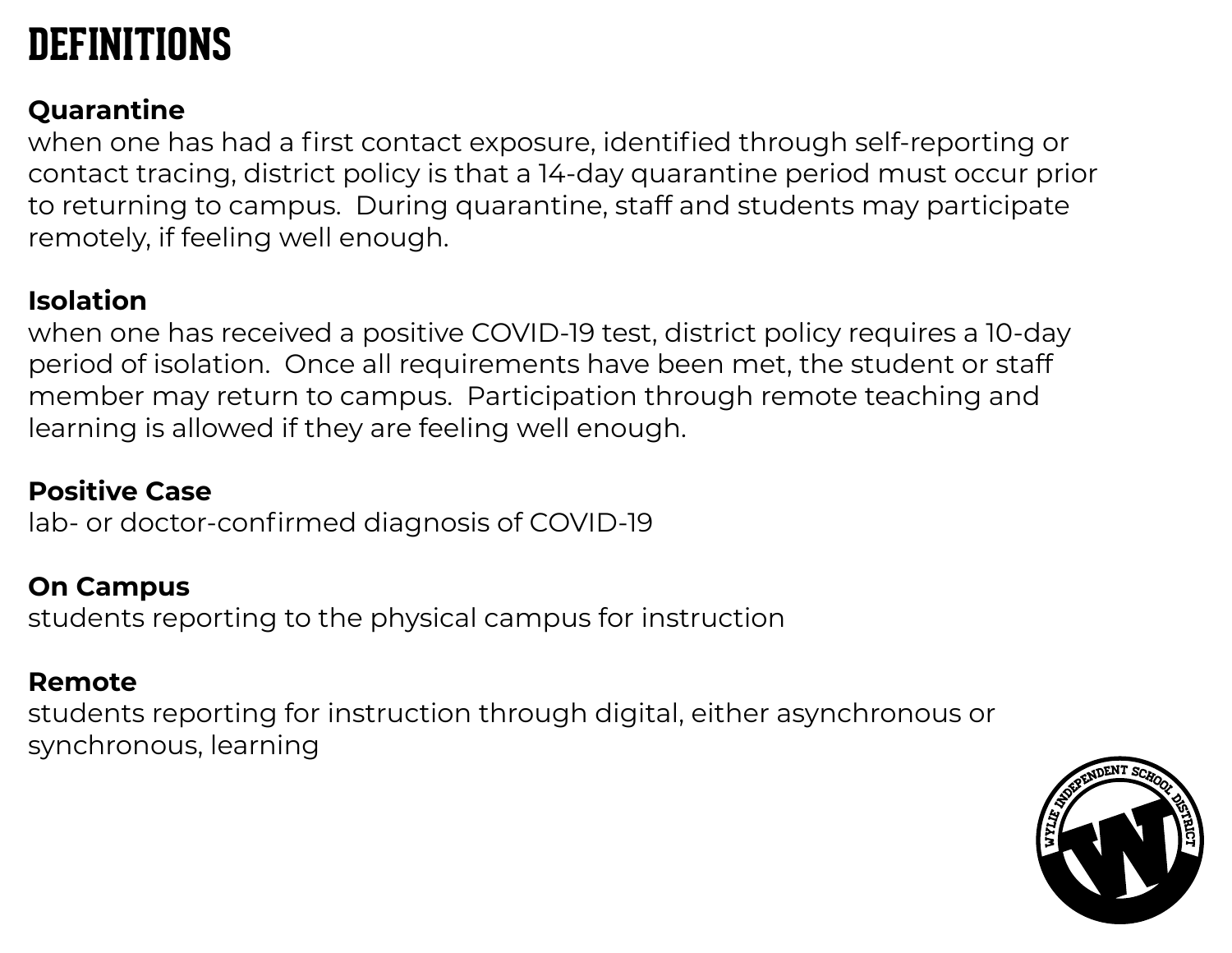# **DEFINITIONS**

## **Quarantine**

when one has had a first contact exposure, identified through self-reporting or contact tracing, district policy is that a 14-day quarantine period must occur prior to returning to campus. During quarantine, staff and students may participate remotely, if feeling well enough.

## **Isolation**

when one has received a positive COVID-19 test, district policy requires a 10-day period of isolation. Once all requirements have been met, the student or staff member may return to campus. Participation through remote teaching and learning is allowed if they are feeling well enough.

## **Positive Case**

lab- or doctor-confirmed diagnosis of COVID-19

### **On Campus**

students reporting to the physical campus for instruction

### **Remote**

students reporting for instruction through digital, either asynchronous or synchronous, learning

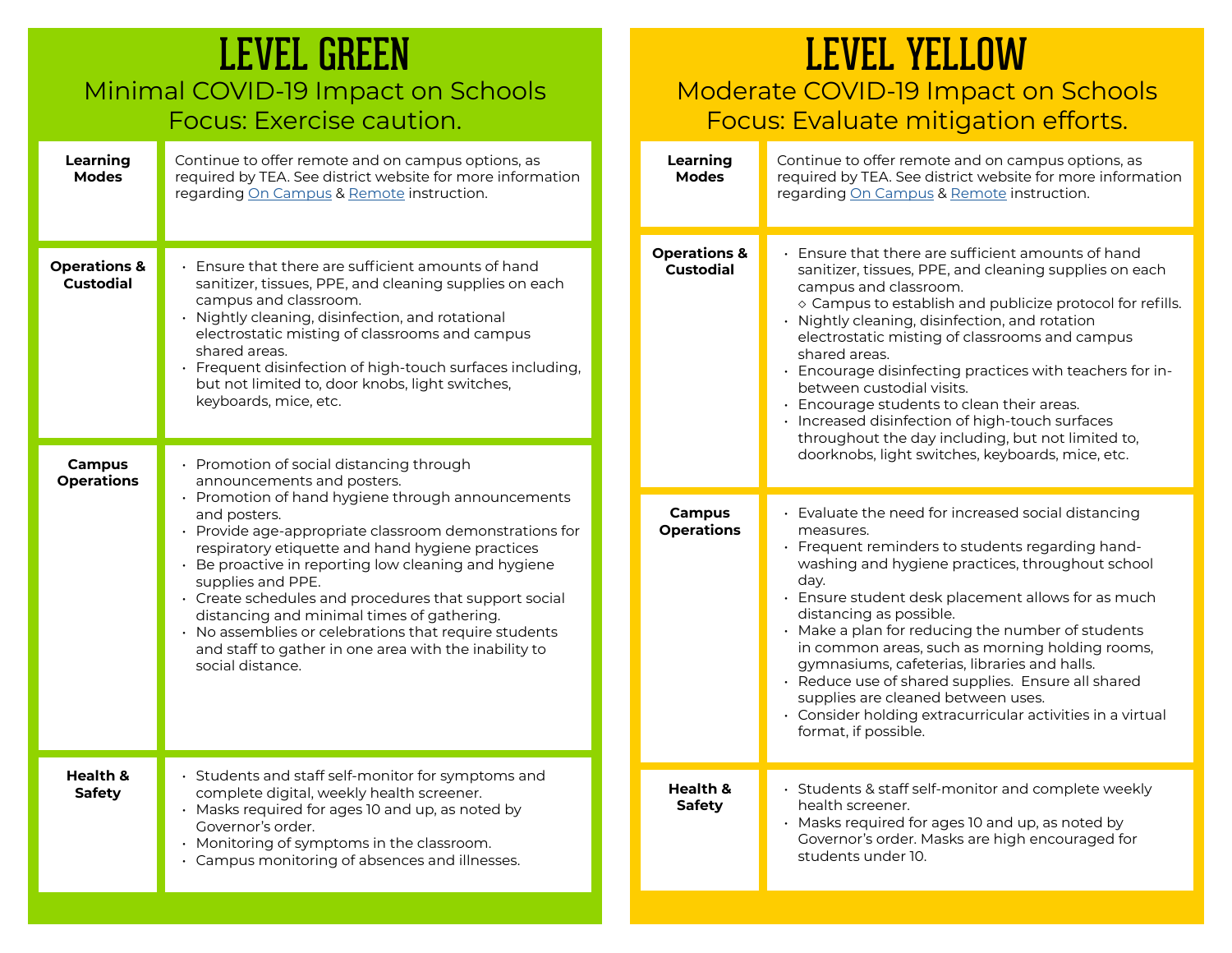| <b>LEVEL GREEN</b><br>Minimal COVID-19 Impact on Schools<br>Focus: Exercise caution. |                                                                                                                                                                                                                                                                                                                                                                                                                                                                                                                                                                                     | Moderate<br>Focus:                          |              |
|--------------------------------------------------------------------------------------|-------------------------------------------------------------------------------------------------------------------------------------------------------------------------------------------------------------------------------------------------------------------------------------------------------------------------------------------------------------------------------------------------------------------------------------------------------------------------------------------------------------------------------------------------------------------------------------|---------------------------------------------|--------------|
| Learning<br><b>Modes</b>                                                             | Continue to offer remote and on campus options, as<br>required by TEA. See district website for more information<br>regarding On Campus & Remote instruction.                                                                                                                                                                                                                                                                                                                                                                                                                       | Learning<br><b>Modes</b>                    | C<br>re<br>r |
| <b>Operations &amp;</b><br><b>Custodial</b>                                          | · Ensure that there are sufficient amounts of hand<br>sanitizer, tissues, PPE, and cleaning supplies on each<br>campus and classroom.<br>· Nightly cleaning, disinfection, and rotational<br>electrostatic misting of classrooms and campus<br>shared areas.<br>· Frequent disinfection of high-touch surfaces including,<br>but not limited to, door knobs, light switches,<br>keyboards, mice, etc.                                                                                                                                                                               | <b>Operations &amp;</b><br><b>Custodial</b> |              |
| <b>Campus</b><br><b>Operations</b>                                                   | • Promotion of social distancing through<br>announcements and posters.<br>• Promotion of hand hygiene through announcements<br>and posters.<br>• Provide age-appropriate classroom demonstrations for<br>respiratory etiquette and hand hygiene practices<br>• Be proactive in reporting low cleaning and hygiene<br>supplies and PPE.<br>· Create schedules and procedures that support social<br>distancing and minimal times of gathering.<br>· No assemblies or celebrations that require students<br>and staff to gather in one area with the inability to<br>social distance. | <b>Campus</b><br><b>Operations</b>          |              |
| Health &<br><b>Safety</b>                                                            | · Students and staff self-monitor for symptoms and<br>complete digital, weekly health screener.<br>· Masks required for ages 10 and up, as noted by<br>Governor's order.<br>· Monitoring of symptoms in the classroom.<br>• Campus monitoring of absences and illnesses.                                                                                                                                                                                                                                                                                                            | Health &<br><b>Safety</b>                   |              |

## LEVEL YELLOW

#### Moderate COVID-19 Impact on Schools Focus: Evaluate mitigation efforts.

| Learning<br><b>Modes</b>                    | Continue to offer remote and on campus options, as<br>required by TEA. See district website for more information<br>regarding On Campus & Remote instruction.                                                                                                                                                                                                                                                                                                                                                                                                                                                                  |
|---------------------------------------------|--------------------------------------------------------------------------------------------------------------------------------------------------------------------------------------------------------------------------------------------------------------------------------------------------------------------------------------------------------------------------------------------------------------------------------------------------------------------------------------------------------------------------------------------------------------------------------------------------------------------------------|
| <b>Operations &amp;</b><br><b>Custodial</b> | • Ensure that there are sufficient amounts of hand<br>sanitizer, tissues, PPE, and cleaning supplies on each<br>campus and classroom.<br>◇ Campus to establish and publicize protocol for refills.<br>Nightly cleaning, disinfection, and rotation<br>electrostatic misting of classrooms and campus<br>shared areas.<br>· Encourage disinfecting practices with teachers for in-<br>between custodial visits.<br>$\cdot$ Encourage students to clean their areas.<br>· Increased disinfection of high-touch surfaces<br>throughout the day including, but not limited to,<br>doorknobs, light switches, keyboards, mice, etc. |
| <b>Campus</b><br><b>Operations</b>          | • Evaluate the need for increased social distancing<br>measures.<br>Frequent reminders to students regarding hand-<br>washing and hygiene practices, throughout school<br>day.<br>· Ensure student desk placement allows for as much<br>distancing as possible.<br>Make a plan for reducing the number of students<br>in common areas, such as morning holding rooms,<br>gymnasiums, cafeterias, libraries and halls.<br>Reduce use of shared supplies. Ensure all shared<br>supplies are cleaned between uses.<br>• Consider holding extracurricular activities in a virtual<br>format, if possible.                          |
| Health &<br>Safety                          | · Students & staff self-monitor and complete weekly<br>health screener.<br>• Masks required for ages 10 and up, as noted by<br>Governor's order. Masks are high encouraged for<br>students under 10.                                                                                                                                                                                                                                                                                                                                                                                                                           |